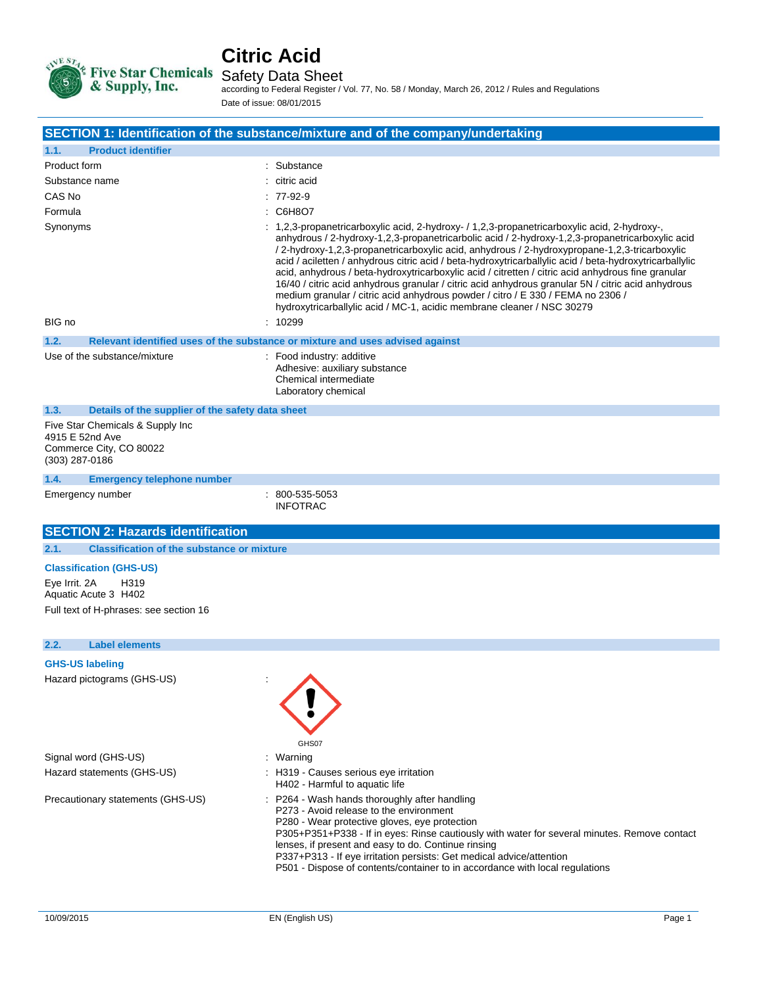

# **Citric Acid**

according to Federal Register / Vol. 77, No. 58 / Monday, March 26, 2012 / Rules and Regulations Date of issue: 08/01/2015

|                                                                                                  | SECTION 1: Identification of the substance/mixture and of the company/undertaking                                                                                                                                                                                                                                                                                                                                                                                                                                                                                                                                                                                                                                                                                                         |
|--------------------------------------------------------------------------------------------------|-------------------------------------------------------------------------------------------------------------------------------------------------------------------------------------------------------------------------------------------------------------------------------------------------------------------------------------------------------------------------------------------------------------------------------------------------------------------------------------------------------------------------------------------------------------------------------------------------------------------------------------------------------------------------------------------------------------------------------------------------------------------------------------------|
| <b>Product identifier</b><br>1.1.                                                                |                                                                                                                                                                                                                                                                                                                                                                                                                                                                                                                                                                                                                                                                                                                                                                                           |
| Product form                                                                                     | Substance                                                                                                                                                                                                                                                                                                                                                                                                                                                                                                                                                                                                                                                                                                                                                                                 |
| Substance name                                                                                   | $:$ citric acid                                                                                                                                                                                                                                                                                                                                                                                                                                                                                                                                                                                                                                                                                                                                                                           |
| CAS No                                                                                           | $: 77-92-9$                                                                                                                                                                                                                                                                                                                                                                                                                                                                                                                                                                                                                                                                                                                                                                               |
| Formula                                                                                          | : C6H8O7                                                                                                                                                                                                                                                                                                                                                                                                                                                                                                                                                                                                                                                                                                                                                                                  |
| Synonyms                                                                                         | $: 1,2,3$ -propanetricarboxylic acid, 2-hydroxy- $/1,2,3$ -propanetricarboxylic acid, 2-hydroxy-,<br>anhydrous / 2-hydroxy-1.2.3-propanetricarbolic acid / 2-hydroxy-1.2.3-propanetricarboxylic acid<br>/ 2-hydroxy-1,2,3-propanetricarboxylic acid, anhydrous / 2-hydroxypropane-1,2,3-tricarboxylic<br>acid / aciletten / anhydrous citric acid / beta-hydroxytricarballylic acid / beta-hydroxytricarballylic<br>acid, anhydrous / beta-hydroxytricarboxylic acid / citretten / citric acid anhydrous fine granular<br>16/40 / citric acid anhydrous granular / citric acid anhydrous granular 5N / citric acid anhydrous<br>medium granular / citric acid anhydrous powder / citro / E 330 / FEMA no 2306 /<br>hydroxytricarballylic acid / MC-1, acidic membrane cleaner / NSC 30279 |
| BIG no                                                                                           | : 10299                                                                                                                                                                                                                                                                                                                                                                                                                                                                                                                                                                                                                                                                                                                                                                                   |
| 1.2.                                                                                             | Relevant identified uses of the substance or mixture and uses advised against                                                                                                                                                                                                                                                                                                                                                                                                                                                                                                                                                                                                                                                                                                             |
| Use of the substance/mixture                                                                     | : Food industry: additive<br>Adhesive: auxiliary substance<br>Chemical intermediate<br>Laboratory chemical                                                                                                                                                                                                                                                                                                                                                                                                                                                                                                                                                                                                                                                                                |
| 1.3.<br>Details of the supplier of the safety data sheet                                         |                                                                                                                                                                                                                                                                                                                                                                                                                                                                                                                                                                                                                                                                                                                                                                                           |
| Five Star Chemicals & Supply Inc<br>4915 E 52nd Ave<br>Commerce City, CO 80022<br>(303) 287-0186 |                                                                                                                                                                                                                                                                                                                                                                                                                                                                                                                                                                                                                                                                                                                                                                                           |
| 1.4.<br><b>Emergency telephone number</b>                                                        |                                                                                                                                                                                                                                                                                                                                                                                                                                                                                                                                                                                                                                                                                                                                                                                           |
| Emergency number                                                                                 | $: 800 - 535 - 5053$<br><b>INFOTRAC</b>                                                                                                                                                                                                                                                                                                                                                                                                                                                                                                                                                                                                                                                                                                                                                   |
| <b>SECTION 2: Hazards identification</b>                                                         |                                                                                                                                                                                                                                                                                                                                                                                                                                                                                                                                                                                                                                                                                                                                                                                           |
| 2.1.<br><b>Classification of the substance or mixture</b>                                        |                                                                                                                                                                                                                                                                                                                                                                                                                                                                                                                                                                                                                                                                                                                                                                                           |
| <b>Classification (GHS-US)</b>                                                                   |                                                                                                                                                                                                                                                                                                                                                                                                                                                                                                                                                                                                                                                                                                                                                                                           |

Eye Irrit. 2A H319 Aquatic Acute 3 H402 Full text of H-phrases: see section 16

#### **2.2. Label elements**

#### **GHS-US labeling**

Hazard pictograms (GHS-US) :

Signal word (GHS-US) **in the state of the Signal word (GHS-US) in the state of the Signal word (GHS-US)** Hazard statements (GHS-US) : H319 - Causes serious eye irritation



- 
- H402 Harmful to aquatic life
- Precautionary statements (GHS-US) : P264 Wash hands thoroughly after handling
	- P273 Avoid release to the environment
	- P280 Wear protective gloves, eye protection

P305+P351+P338 - If in eyes: Rinse cautiously with water for several minutes. Remove contact lenses, if present and easy to do. Continue rinsing

- P337+P313 If eye irritation persists: Get medical advice/attention
- P501 Dispose of contents/container to in accordance with local regulations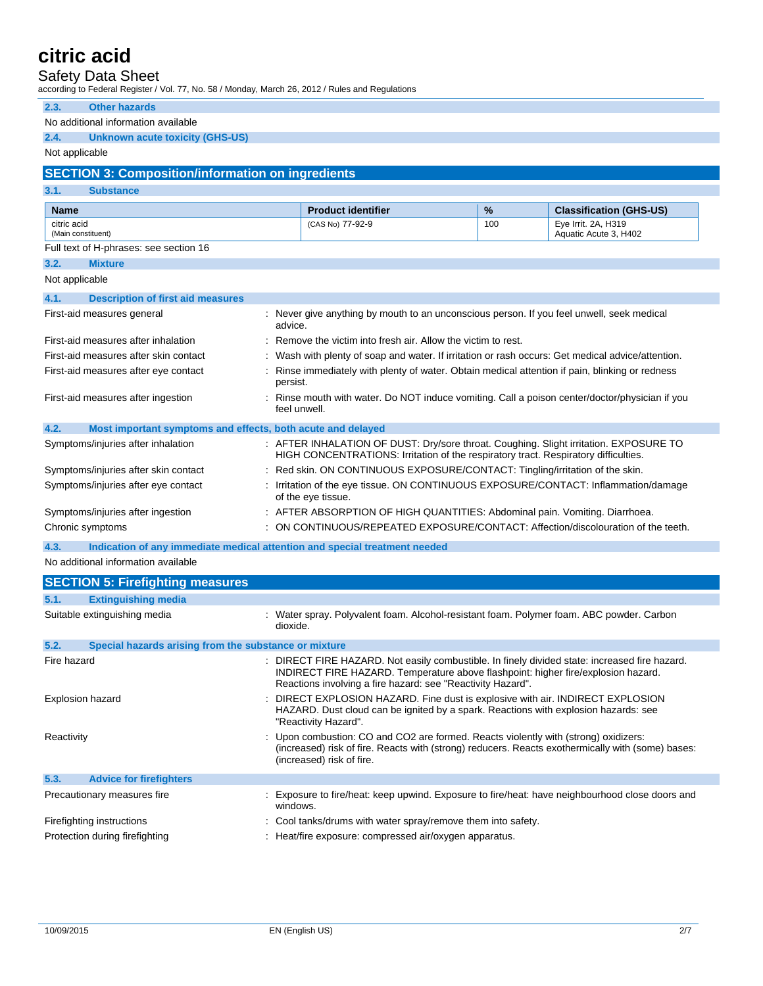### Safety Data Sheet

according to Federal Register / Vol. 77, No. 58 / Monday, March 26, 2012 / Rules and Regulations

| 2.3.<br><b>Other hazards</b>                                                       |                                                                                                                                                                                                                                                 |     |                                                       |
|------------------------------------------------------------------------------------|-------------------------------------------------------------------------------------------------------------------------------------------------------------------------------------------------------------------------------------------------|-----|-------------------------------------------------------|
| No additional information available                                                |                                                                                                                                                                                                                                                 |     |                                                       |
| 2.4.<br><b>Unknown acute toxicity (GHS-US)</b>                                     |                                                                                                                                                                                                                                                 |     |                                                       |
| Not applicable                                                                     |                                                                                                                                                                                                                                                 |     |                                                       |
| <b>SECTION 3: Composition/information on ingredients</b>                           |                                                                                                                                                                                                                                                 |     |                                                       |
| 3.1.<br><b>Substance</b>                                                           |                                                                                                                                                                                                                                                 |     |                                                       |
|                                                                                    |                                                                                                                                                                                                                                                 | %   |                                                       |
| <b>Name</b><br>citric acid                                                         | <b>Product identifier</b><br>(CAS No) 77-92-9                                                                                                                                                                                                   | 100 | <b>Classification (GHS-US)</b><br>Eye Irrit. 2A, H319 |
| (Main constituent)                                                                 |                                                                                                                                                                                                                                                 |     | Aquatic Acute 3, H402                                 |
| Full text of H-phrases: see section 16                                             |                                                                                                                                                                                                                                                 |     |                                                       |
| 3.2.<br><b>Mixture</b>                                                             |                                                                                                                                                                                                                                                 |     |                                                       |
| Not applicable                                                                     |                                                                                                                                                                                                                                                 |     |                                                       |
| 4.1.<br><b>Description of first aid measures</b>                                   |                                                                                                                                                                                                                                                 |     |                                                       |
| First-aid measures general                                                         | : Never give anything by mouth to an unconscious person. If you feel unwell, seek medical<br>advice.                                                                                                                                            |     |                                                       |
| First-aid measures after inhalation                                                | : Remove the victim into fresh air. Allow the victim to rest.                                                                                                                                                                                   |     |                                                       |
| First-aid measures after skin contact                                              | : Wash with plenty of soap and water. If irritation or rash occurs: Get medical advice/attention.                                                                                                                                               |     |                                                       |
| First-aid measures after eye contact                                               | : Rinse immediately with plenty of water. Obtain medical attention if pain, blinking or redness<br>persist.                                                                                                                                     |     |                                                       |
| First-aid measures after ingestion                                                 | : Rinse mouth with water. Do NOT induce vomiting. Call a poison center/doctor/physician if you<br>feel unwell.                                                                                                                                  |     |                                                       |
| 4.2.<br>Most important symptoms and effects, both acute and delayed                |                                                                                                                                                                                                                                                 |     |                                                       |
| Symptoms/injuries after inhalation                                                 | : AFTER INHALATION OF DUST: Dry/sore throat. Coughing. Slight irritation. EXPOSURE TO<br>HIGH CONCENTRATIONS: Irritation of the respiratory tract. Respiratory difficulties.                                                                    |     |                                                       |
| Symptoms/injuries after skin contact                                               | Red skin. ON CONTINUOUS EXPOSURE/CONTACT: Tingling/irritation of the skin.                                                                                                                                                                      |     |                                                       |
| Symptoms/injuries after eye contact                                                | Irritation of the eye tissue. ON CONTINUOUS EXPOSURE/CONTACT: Inflammation/damage<br>of the eye tissue.                                                                                                                                         |     |                                                       |
| Symptoms/injuries after ingestion                                                  | : AFTER ABSORPTION OF HIGH QUANTITIES: Abdominal pain. Vomiting. Diarrhoea.                                                                                                                                                                     |     |                                                       |
| Chronic symptoms                                                                   | : ON CONTINUOUS/REPEATED EXPOSURE/CONTACT: Affection/discolouration of the teeth.                                                                                                                                                               |     |                                                       |
| 4.3.<br>Indication of any immediate medical attention and special treatment needed |                                                                                                                                                                                                                                                 |     |                                                       |
| No additional information available                                                |                                                                                                                                                                                                                                                 |     |                                                       |
| <b>SECTION 5: Firefighting measures</b>                                            |                                                                                                                                                                                                                                                 |     |                                                       |
| <b>Extinguishing media</b><br>5.1.                                                 |                                                                                                                                                                                                                                                 |     |                                                       |
| Suitable extinguishing media                                                       | : Water spray. Polyvalent foam. Alcohol-resistant foam. Polymer foam. ABC powder. Carbon<br>dioxide.                                                                                                                                            |     |                                                       |
| 5.2.<br>Special hazards arising from the substance or mixture                      |                                                                                                                                                                                                                                                 |     |                                                       |
| Fire hazard                                                                        | DIRECT FIRE HAZARD. Not easily combustible. In finely divided state: increased fire hazard.<br>INDIRECT FIRE HAZARD. Temperature above flashpoint: higher fire/explosion hazard.<br>Reactions involving a fire hazard: see "Reactivity Hazard". |     |                                                       |
| Explosion hazard                                                                   | DIRECT EXPLOSION HAZARD. Fine dust is explosive with air. INDIRECT EXPLOSION<br>HAZARD. Dust cloud can be ignited by a spark. Reactions with explosion hazards: see<br>"Reactivity Hazard".                                                     |     |                                                       |
| Reactivity                                                                         | : Upon combustion: CO and CO2 are formed. Reacts violently with (strong) oxidizers:<br>(increased) risk of fire. Reacts with (strong) reducers. Reacts exothermically with (some) bases:<br>(increased) risk of fire.                           |     |                                                       |
| 5.3.<br><b>Advice for firefighters</b>                                             |                                                                                                                                                                                                                                                 |     |                                                       |
| Precautionary measures fire                                                        | Exposure to fire/heat: keep upwind. Exposure to fire/heat: have neighbourhood close doors and<br>windows.                                                                                                                                       |     |                                                       |
| Firefighting instructions                                                          | Cool tanks/drums with water spray/remove them into safety.                                                                                                                                                                                      |     |                                                       |
| Protection during firefighting                                                     | : Heat/fire exposure: compressed air/oxygen apparatus.                                                                                                                                                                                          |     |                                                       |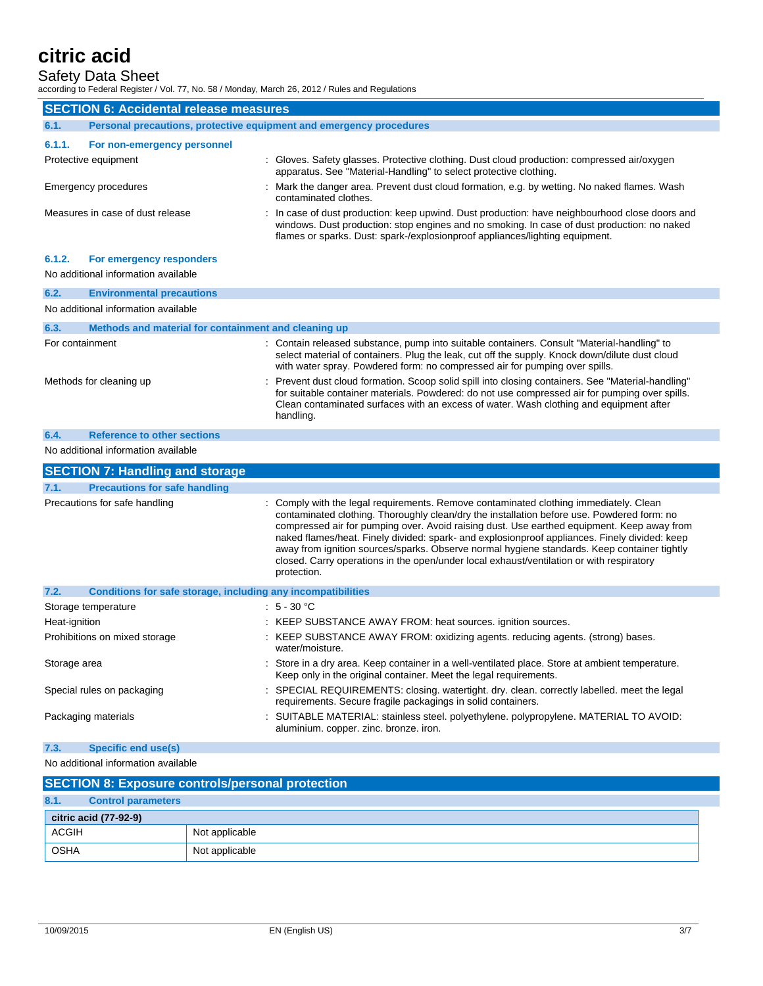### Safety Data Sheet

according to Federal Register / Vol. 77, No. 58 / Monday, March 26, 2012 / Rules and Regulations

|                                                                             | <b>SECTION 6: Accidental release measures</b>                   |                                                                                                                                                                                                                                                                                                                                                                                                                                                                                                                                                                                              |  |
|-----------------------------------------------------------------------------|-----------------------------------------------------------------|----------------------------------------------------------------------------------------------------------------------------------------------------------------------------------------------------------------------------------------------------------------------------------------------------------------------------------------------------------------------------------------------------------------------------------------------------------------------------------------------------------------------------------------------------------------------------------------------|--|
| Personal precautions, protective equipment and emergency procedures<br>6.1. |                                                                 |                                                                                                                                                                                                                                                                                                                                                                                                                                                                                                                                                                                              |  |
| 6.1.1.                                                                      | For non-emergency personnel                                     |                                                                                                                                                                                                                                                                                                                                                                                                                                                                                                                                                                                              |  |
| Protective equipment                                                        |                                                                 | : Gloves. Safety glasses. Protective clothing. Dust cloud production: compressed air/oxygen<br>apparatus. See "Material-Handling" to select protective clothing.                                                                                                                                                                                                                                                                                                                                                                                                                             |  |
| Emergency procedures                                                        |                                                                 | : Mark the danger area. Prevent dust cloud formation, e.g. by wetting. No naked flames. Wash<br>contaminated clothes.                                                                                                                                                                                                                                                                                                                                                                                                                                                                        |  |
|                                                                             | Measures in case of dust release                                | : In case of dust production: keep upwind. Dust production: have neighbourhood close doors and<br>windows. Dust production: stop engines and no smoking. In case of dust production: no naked<br>flames or sparks. Dust: spark-/explosionproof appliances/lighting equipment.                                                                                                                                                                                                                                                                                                                |  |
| 6.1.2.                                                                      | For emergency responders<br>No additional information available |                                                                                                                                                                                                                                                                                                                                                                                                                                                                                                                                                                                              |  |
| 6.2.                                                                        | <b>Environmental precautions</b>                                |                                                                                                                                                                                                                                                                                                                                                                                                                                                                                                                                                                                              |  |
|                                                                             | No additional information available                             |                                                                                                                                                                                                                                                                                                                                                                                                                                                                                                                                                                                              |  |
| 6.3.                                                                        | Methods and material for containment and cleaning up            |                                                                                                                                                                                                                                                                                                                                                                                                                                                                                                                                                                                              |  |
| For containment                                                             |                                                                 | : Contain released substance, pump into suitable containers. Consult "Material-handling" to<br>select material of containers. Plug the leak, cut off the supply. Knock down/dilute dust cloud<br>with water spray. Powdered form: no compressed air for pumping over spills.                                                                                                                                                                                                                                                                                                                 |  |
| Methods for cleaning up                                                     |                                                                 | : Prevent dust cloud formation. Scoop solid spill into closing containers. See "Material-handling"<br>for suitable container materials. Powdered: do not use compressed air for pumping over spills.<br>Clean contaminated surfaces with an excess of water. Wash clothing and equipment after<br>handling.                                                                                                                                                                                                                                                                                  |  |
| 6.4.                                                                        | <b>Reference to other sections</b>                              |                                                                                                                                                                                                                                                                                                                                                                                                                                                                                                                                                                                              |  |
|                                                                             | No additional information available                             |                                                                                                                                                                                                                                                                                                                                                                                                                                                                                                                                                                                              |  |
|                                                                             | <b>SECTION 7: Handling and storage</b>                          |                                                                                                                                                                                                                                                                                                                                                                                                                                                                                                                                                                                              |  |
| 7.1.                                                                        | <b>Precautions for safe handling</b>                            |                                                                                                                                                                                                                                                                                                                                                                                                                                                                                                                                                                                              |  |
|                                                                             | Precautions for safe handling                                   | : Comply with the legal requirements. Remove contaminated clothing immediately. Clean<br>contaminated clothing. Thoroughly clean/dry the installation before use. Powdered form: no<br>compressed air for pumping over. Avoid raising dust. Use earthed equipment. Keep away from<br>naked flames/heat. Finely divided: spark- and explosionproof appliances. Finely divided: keep<br>away from ignition sources/sparks. Observe normal hygiene standards. Keep container tightly<br>closed. Carry operations in the open/under local exhaust/ventilation or with respiratory<br>protection. |  |
| 7.2.                                                                        | Conditions for safe storage, including any incompatibilities    |                                                                                                                                                                                                                                                                                                                                                                                                                                                                                                                                                                                              |  |
| Storage temperature                                                         |                                                                 | $: 5 - 30 °C$                                                                                                                                                                                                                                                                                                                                                                                                                                                                                                                                                                                |  |
| Heat-ignition                                                               |                                                                 | : KEEP SUBSTANCE AWAY FROM: heat sources. ignition sources.                                                                                                                                                                                                                                                                                                                                                                                                                                                                                                                                  |  |
|                                                                             | Prohibitions on mixed storage                                   | KEEP SUBSTANCE AWAY FROM: oxidizing agents. reducing agents. (strong) bases.<br>water/moisture.                                                                                                                                                                                                                                                                                                                                                                                                                                                                                              |  |
| Storage area                                                                |                                                                 | : Store in a dry area. Keep container in a well-ventilated place. Store at ambient temperature.<br>Keep only in the original container. Meet the legal requirements.                                                                                                                                                                                                                                                                                                                                                                                                                         |  |
|                                                                             | Special rules on packaging                                      | : SPECIAL REQUIREMENTS: closing. watertight. dry. clean. correctly labelled. meet the legal<br>requirements. Secure fragile packagings in solid containers.                                                                                                                                                                                                                                                                                                                                                                                                                                  |  |
| Packaging materials                                                         |                                                                 | : SUITABLE MATERIAL: stainless steel. polyethylene. polypropylene. MATERIAL TO AVOID:<br>aluminium. copper. zinc. bronze. iron.                                                                                                                                                                                                                                                                                                                                                                                                                                                              |  |
| 7.3.                                                                        | <b>Specific end use(s)</b>                                      |                                                                                                                                                                                                                                                                                                                                                                                                                                                                                                                                                                                              |  |
|                                                                             | No additional information available                             |                                                                                                                                                                                                                                                                                                                                                                                                                                                                                                                                                                                              |  |

|              |                           | <b>SECTION 8: Exposure controls/personal protection</b> |  |
|--------------|---------------------------|---------------------------------------------------------|--|
| 8.1.         | <b>Control parameters</b> |                                                         |  |
|              | citric acid (77-92-9)     |                                                         |  |
| <b>ACGIH</b> |                           | Not applicable                                          |  |
| <b>OSHA</b>  |                           | Not applicable                                          |  |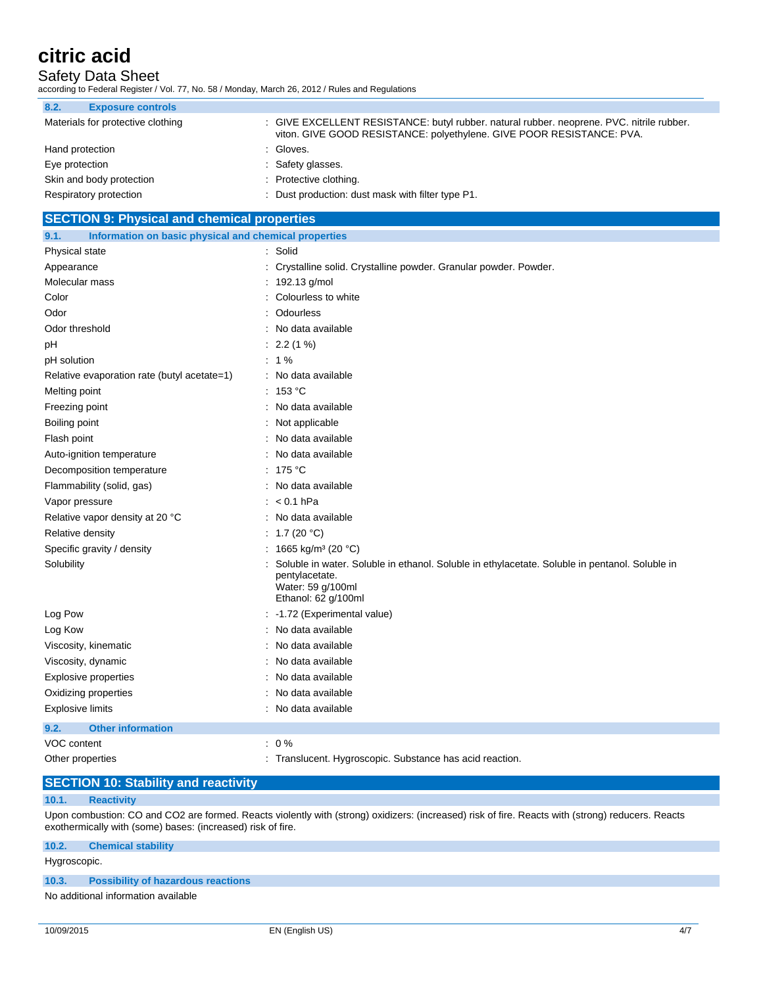Safety Data Sheet

according to Federal Register / Vol. 77, No. 58 / Monday, March 26, 2012 / Rules and Regulations

| 8.2.<br><b>Exposure controls</b>  |                                                                                                                                                                    |
|-----------------------------------|--------------------------------------------------------------------------------------------------------------------------------------------------------------------|
| Materials for protective clothing | : GIVE EXCELLENT RESISTANCE: butyl rubber. natural rubber. neoprene. PVC. nitrile rubber.<br>viton. GIVE GOOD RESISTANCE: polyethylene. GIVE POOR RESISTANCE: PVA. |
| Hand protection                   | : Gloves.                                                                                                                                                          |
| Eye protection                    | : Safety glasses.                                                                                                                                                  |
| Skin and body protection          | : Protective clothing.                                                                                                                                             |
| Respiratory protection            | : Dust production: dust mask with filter type P1.                                                                                                                  |

### **SECTION 9: Physical and chemical properties**

| 9.1.<br>Information on basic physical and chemical properties |                                                                                                                                                              |
|---------------------------------------------------------------|--------------------------------------------------------------------------------------------------------------------------------------------------------------|
| Physical state                                                | : Solid                                                                                                                                                      |
| Appearance                                                    | : Crystalline solid. Crystalline powder. Granular powder. Powder.                                                                                            |
| Molecular mass                                                | : 192.13 g/mol                                                                                                                                               |
| Color                                                         | : Colourless to white                                                                                                                                        |
| Odor                                                          | Odourless                                                                                                                                                    |
| Odor threshold                                                | : No data available                                                                                                                                          |
| рH                                                            | $: 2.2(1\%)$                                                                                                                                                 |
| pH solution                                                   | $: 1\%$                                                                                                                                                      |
| Relative evaporation rate (butyl acetate=1)                   | : No data available                                                                                                                                          |
| Melting point                                                 | : 153 °C                                                                                                                                                     |
| Freezing point                                                | : No data available                                                                                                                                          |
| Boiling point                                                 | : Not applicable                                                                                                                                             |
| Flash point                                                   | : No data available                                                                                                                                          |
| Auto-ignition temperature                                     | : No data available                                                                                                                                          |
| Decomposition temperature                                     | : $175^{\circ}$ C                                                                                                                                            |
| Flammability (solid, gas)                                     | : No data available                                                                                                                                          |
| Vapor pressure                                                | $: < 0.1$ hPa                                                                                                                                                |
| Relative vapor density at 20 °C                               | : No data available                                                                                                                                          |
| Relative density                                              | : 1.7 (20 °C)                                                                                                                                                |
| Specific gravity / density                                    | : 1665 kg/m <sup>3</sup> (20 °C)                                                                                                                             |
| Solubility                                                    | Soluble in water. Soluble in ethanol. Soluble in ethylacetate. Soluble in pentanol. Soluble in<br>pentylacetate.<br>Water: 59 g/100ml<br>Ethanol: 62 g/100ml |
| Log Pow                                                       | : -1.72 (Experimental value)                                                                                                                                 |
| Log Kow                                                       | : No data available                                                                                                                                          |
| Viscosity, kinematic                                          | : No data available                                                                                                                                          |
| Viscosity, dynamic                                            | : No data available                                                                                                                                          |
| <b>Explosive properties</b>                                   | : No data available                                                                                                                                          |
| Oxidizing properties                                          | No data available                                                                                                                                            |
| <b>Explosive limits</b>                                       | : No data available                                                                                                                                          |
| <b>Other information</b><br>9.2.                              |                                                                                                                                                              |
| VOC content                                                   | $: 0\%$                                                                                                                                                      |
| Other properties                                              | : Translucent. Hygroscopic. Substance has acid reaction.                                                                                                     |

# **SECTION 10: Stability and reactivity**

### **10.1. Reactivity**

Upon combustion: CO and CO2 are formed. Reacts violently with (strong) oxidizers: (increased) risk of fire. Reacts with (strong) reducers. Reacts exothermically with (some) bases: (increased) risk of fire.

| Hygroscopic. |                                           |
|--------------|-------------------------------------------|
|              |                                           |
| 10.3.        | <b>Possibility of hazardous reactions</b> |
|              | No additional information available       |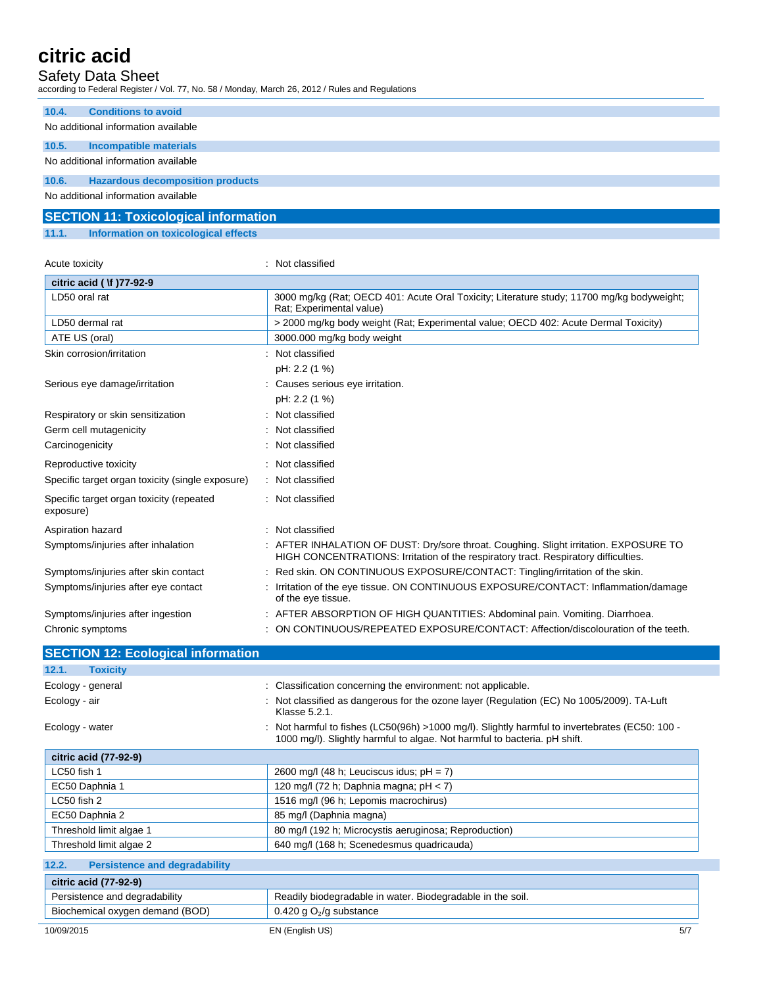### Safety Data Sheet

according to Federal Register / Vol. 77, No. 58 / Monday, March 26, 2012 / Rules and Regulations

| 10.4. | <b>Conditions to avoid</b>              |
|-------|-----------------------------------------|
|       | No additional information available     |
| 10.5. | Incompatible materials                  |
|       | No additional information available     |
| 10.6. | <b>Hazardous decomposition products</b> |
|       | No additional information available     |

|       | <b>SECTION 11: Toxicological information</b> |  |  |
|-------|----------------------------------------------|--|--|
| 11.1. | Information on toxicological effects         |  |  |

| Acute toxicity                                        | Not classified                                                                                                                                                             |
|-------------------------------------------------------|----------------------------------------------------------------------------------------------------------------------------------------------------------------------------|
| citric acid ( \f )77-92-9                             |                                                                                                                                                                            |
| LD50 oral rat                                         | 3000 mg/kg (Rat; OECD 401: Acute Oral Toxicity; Literature study; 11700 mg/kg bodyweight;<br>Rat; Experimental value)                                                      |
| LD50 dermal rat                                       | > 2000 mg/kg body weight (Rat: Experimental value: OECD 402: Acute Dermal Toxicity)                                                                                        |
| ATE US (oral)                                         | 3000.000 mg/kg body weight                                                                                                                                                 |
| Skin corrosion/irritation                             | : Not classified                                                                                                                                                           |
|                                                       | pH: 2.2 (1 %)                                                                                                                                                              |
| Serious eye damage/irritation                         | : Causes serious eye irritation.                                                                                                                                           |
|                                                       | pH: 2.2 (1 %)                                                                                                                                                              |
| Respiratory or skin sensitization                     | Not classified                                                                                                                                                             |
| Germ cell mutagenicity                                | Not classified                                                                                                                                                             |
| Carcinogenicity                                       | Not classified                                                                                                                                                             |
| Reproductive toxicity                                 | Not classified                                                                                                                                                             |
| Specific target organ toxicity (single exposure)      | : Not classified                                                                                                                                                           |
| Specific target organ toxicity (repeated<br>exposure) | : Not classified                                                                                                                                                           |
| Aspiration hazard                                     | Not classified                                                                                                                                                             |
| Symptoms/injuries after inhalation                    | AFTER INHALATION OF DUST: Dry/sore throat. Coughing. Slight irritation. EXPOSURE TO<br>HIGH CONCENTRATIONS: Irritation of the respiratory tract. Respiratory difficulties. |
| Symptoms/injuries after skin contact                  | Red skin. ON CONTINUOUS EXPOSURE/CONTACT: Tingling/irritation of the skin.                                                                                                 |
| Symptoms/injuries after eye contact                   | Irritation of the eye tissue. ON CONTINUOUS EXPOSURE/CONTACT: Inflammation/damage<br>of the eye tissue.                                                                    |
| Symptoms/injuries after ingestion                     | AFTER ABSORPTION OF HIGH QUANTITIES: Abdominal pain. Vomiting. Diarrhoea.                                                                                                  |
| Chronic symptoms                                      | ON CONTINUOUS/REPEATED EXPOSURE/CONTACT: Affection/discolouration of the teeth.                                                                                            |
| <b>SECTION 12: Ecological information</b>             |                                                                                                                                                                            |
|                                                       |                                                                                                                                                                            |

| 12.1.<br><b>Toxicity</b>                      |                                                                                                                                                                             |
|-----------------------------------------------|-----------------------------------------------------------------------------------------------------------------------------------------------------------------------------|
| Ecology - general                             | : Classification concerning the environment: not applicable.                                                                                                                |
| Ecology - air                                 | : Not classified as dangerous for the ozone layer (Regulation (EC) No 1005/2009). TA-Luft<br>Klasse 5.2.1.                                                                  |
| Ecology - water                               | : Not harmful to fishes (LC50(96h) >1000 mg/l). Slightly harmful to invertebrates (EC50: 100 -<br>1000 mg/l). Slightly harmful to algae. Not harmful to bacteria. pH shift. |
| citric acid (77-92-9)                         |                                                                                                                                                                             |
| LC50 fish 1                                   | 2600 mg/l (48 h; Leuciscus idus; $pH = 7$ )                                                                                                                                 |
| EC50 Daphnia 1                                | 120 mg/l (72 h; Daphnia magna; $pH < 7$ )                                                                                                                                   |
| LC50 fish 2                                   | 1516 mg/l (96 h; Lepomis macrochirus)                                                                                                                                       |
| EC50 Daphnia 2                                | 85 mg/l (Daphnia magna)                                                                                                                                                     |
| Threshold limit algae 1                       | 80 mg/l (192 h; Microcystis aeruginosa; Reproduction)                                                                                                                       |
| Threshold limit algae 2                       | 640 mg/l (168 h; Scenedesmus quadricauda)                                                                                                                                   |
| 12.2.<br><b>Persistence and degradability</b> |                                                                                                                                                                             |
| citric acid (77-92-9)                         |                                                                                                                                                                             |

### 10/09/2015 EN (English US) 5/7 Persistence and degradability **Readily biodegradable in water. Biodegradable in the soil.** Readily biodegradable in water. Biodegradable in the soil. Biochemical oxygen demand (BOD) 0.420 g O<sub>2</sub>/g substance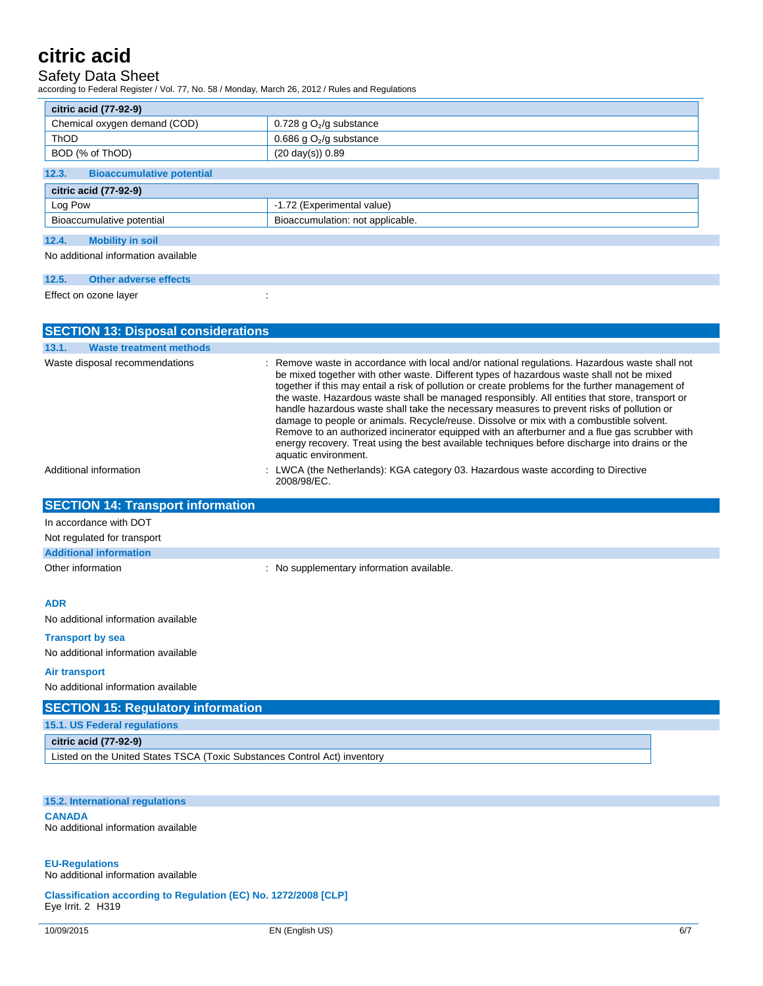## Safety Data Sheet

according to Federal Register / Vol. 77, No. 58 / Monday, March 26, 2012 / Rules and Regulations

| citric acid (77-92-9)                                         |                            |  |
|---------------------------------------------------------------|----------------------------|--|
| Chemical oxygen demand (COD)                                  | 0.728 g $O_2$ /g substance |  |
| <b>ThOD</b>                                                   | 0.686 g $O_2$ /g substance |  |
| BOD (% of ThOD)                                               | $(20 \text{ day(s)}) 0.89$ |  |
| 12.3.<br><b>Bioaccumulative potential</b>                     |                            |  |
| citric acid (77-92-9)                                         |                            |  |
| Log Pow                                                       | -1.72 (Experimental value) |  |
| Bioaccumulation: not applicable.<br>Bioaccumulative potential |                            |  |
| 12.4.<br><b>Mobility in soil</b>                              |                            |  |

No additional information available

| 12.5. | <b>Other adverse effects</b> |  |  |
|-------|------------------------------|--|--|
|       | Effect on ozone layer        |  |  |

| <b>SECTION 13: Disposal considerations</b>                                |                                                                                                                                                                                                                                                                                                                                                                                                                                                                                                                                                                                                                                                                                                                                                                                                                      |  |  |  |  |
|---------------------------------------------------------------------------|----------------------------------------------------------------------------------------------------------------------------------------------------------------------------------------------------------------------------------------------------------------------------------------------------------------------------------------------------------------------------------------------------------------------------------------------------------------------------------------------------------------------------------------------------------------------------------------------------------------------------------------------------------------------------------------------------------------------------------------------------------------------------------------------------------------------|--|--|--|--|
| <b>Waste treatment methods</b><br>13.1.                                   |                                                                                                                                                                                                                                                                                                                                                                                                                                                                                                                                                                                                                                                                                                                                                                                                                      |  |  |  |  |
| Waste disposal recommendations                                            | : Remove waste in accordance with local and/or national regulations. Hazardous waste shall not<br>be mixed together with other waste. Different types of hazardous waste shall not be mixed<br>together if this may entail a risk of pollution or create problems for the further management of<br>the waste. Hazardous waste shall be managed responsibly. All entities that store, transport or<br>handle hazardous waste shall take the necessary measures to prevent risks of pollution or<br>damage to people or animals. Recycle/reuse. Dissolve or mix with a combustible solvent.<br>Remove to an authorized incinerator equipped with an afterburner and a flue gas scrubber with<br>energy recovery. Treat using the best available techniques before discharge into drains or the<br>aquatic environment. |  |  |  |  |
| Additional information                                                    | : LWCA (the Netherlands): KGA category 03. Hazardous waste according to Directive<br>2008/98/EC.                                                                                                                                                                                                                                                                                                                                                                                                                                                                                                                                                                                                                                                                                                                     |  |  |  |  |
| <b>SECTION 14: Transport information</b>                                  |                                                                                                                                                                                                                                                                                                                                                                                                                                                                                                                                                                                                                                                                                                                                                                                                                      |  |  |  |  |
| In accordance with DOT                                                    |                                                                                                                                                                                                                                                                                                                                                                                                                                                                                                                                                                                                                                                                                                                                                                                                                      |  |  |  |  |
| Not regulated for transport                                               |                                                                                                                                                                                                                                                                                                                                                                                                                                                                                                                                                                                                                                                                                                                                                                                                                      |  |  |  |  |
| <b>Additional information</b>                                             |                                                                                                                                                                                                                                                                                                                                                                                                                                                                                                                                                                                                                                                                                                                                                                                                                      |  |  |  |  |
| Other information                                                         | : No supplementary information available.                                                                                                                                                                                                                                                                                                                                                                                                                                                                                                                                                                                                                                                                                                                                                                            |  |  |  |  |
| <b>ADR</b>                                                                |                                                                                                                                                                                                                                                                                                                                                                                                                                                                                                                                                                                                                                                                                                                                                                                                                      |  |  |  |  |
| No additional information available                                       |                                                                                                                                                                                                                                                                                                                                                                                                                                                                                                                                                                                                                                                                                                                                                                                                                      |  |  |  |  |
| <b>Transport by sea</b>                                                   |                                                                                                                                                                                                                                                                                                                                                                                                                                                                                                                                                                                                                                                                                                                                                                                                                      |  |  |  |  |
| No additional information available                                       |                                                                                                                                                                                                                                                                                                                                                                                                                                                                                                                                                                                                                                                                                                                                                                                                                      |  |  |  |  |
| Air transport                                                             |                                                                                                                                                                                                                                                                                                                                                                                                                                                                                                                                                                                                                                                                                                                                                                                                                      |  |  |  |  |
| No additional information available                                       |                                                                                                                                                                                                                                                                                                                                                                                                                                                                                                                                                                                                                                                                                                                                                                                                                      |  |  |  |  |
| <b>SECTION 15: Regulatory information</b>                                 |                                                                                                                                                                                                                                                                                                                                                                                                                                                                                                                                                                                                                                                                                                                                                                                                                      |  |  |  |  |
| 15.1. US Federal regulations                                              |                                                                                                                                                                                                                                                                                                                                                                                                                                                                                                                                                                                                                                                                                                                                                                                                                      |  |  |  |  |
| citric acid (77-92-9)                                                     |                                                                                                                                                                                                                                                                                                                                                                                                                                                                                                                                                                                                                                                                                                                                                                                                                      |  |  |  |  |
| Listed on the United States TSCA (Toxic Substances Control Act) inventory |                                                                                                                                                                                                                                                                                                                                                                                                                                                                                                                                                                                                                                                                                                                                                                                                                      |  |  |  |  |
|                                                                           |                                                                                                                                                                                                                                                                                                                                                                                                                                                                                                                                                                                                                                                                                                                                                                                                                      |  |  |  |  |
|                                                                           |                                                                                                                                                                                                                                                                                                                                                                                                                                                                                                                                                                                                                                                                                                                                                                                                                      |  |  |  |  |
| 15.2. International regulations                                           |                                                                                                                                                                                                                                                                                                                                                                                                                                                                                                                                                                                                                                                                                                                                                                                                                      |  |  |  |  |

**CANADA** No additional information available

### **EU-Regulations**

No additional information available

**Classification according to Regulation (EC) No. 1272/2008 [CLP]** Eye Irrit. 2 H319